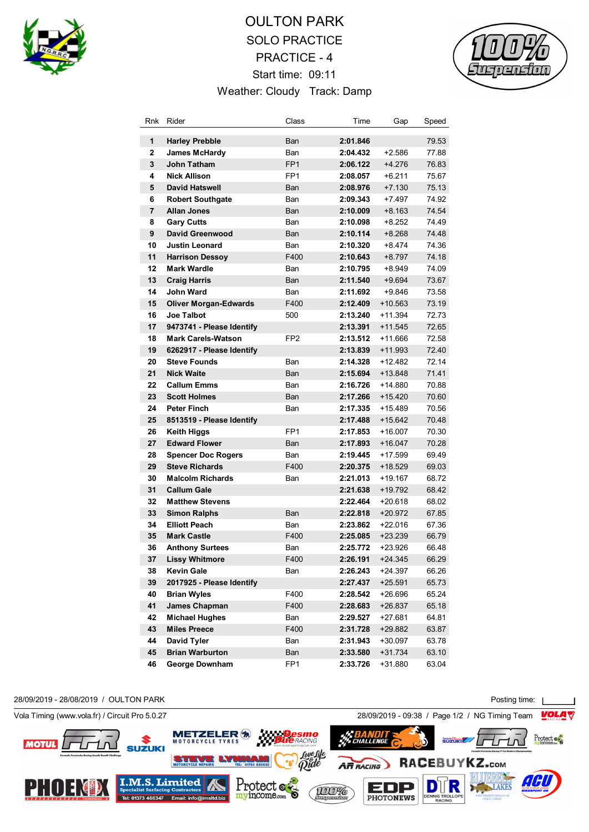

## OULTON PARK SOLO PRACTICE PRACTICE - 4 Start time: 09:11 Weather: Cloudy Track: Damp



| Rnk            | Rider                        | Class           | Time     | Gap       | Speed |
|----------------|------------------------------|-----------------|----------|-----------|-------|
| 1              | <b>Harley Prebble</b>        | Ban             | 2:01.846 |           | 79.53 |
| $\overline{2}$ | <b>James McHardy</b>         | Ban             | 2:04.432 | $+2.586$  | 77.88 |
| 3              | <b>John Tatham</b>           | FP <sub>1</sub> | 2:06.122 | $+4.276$  | 76.83 |
| 4              | <b>Nick Allison</b>          | FP <sub>1</sub> | 2:08.057 | $+6.211$  | 75.67 |
| 5              | <b>David Hatswell</b>        | Ban             | 2:08.976 | $+7.130$  | 75.13 |
| 6              | <b>Robert Southgate</b>      | Ban             | 2:09.343 | $+7.497$  | 74.92 |
| 7              | <b>Allan Jones</b>           | Ban             | 2:10.009 | $+8.163$  | 74.54 |
| 8              | <b>Gary Cutts</b>            | Ban             | 2:10.098 | $+8.252$  | 74.49 |
| 9              | <b>David Greenwood</b>       | Ban             | 2:10.114 | $+8.268$  | 74.48 |
| 10             | <b>Justin Leonard</b>        | Ban             | 2:10.320 | $+8.474$  | 74.36 |
| 11             | <b>Harrison Dessoy</b>       | F400            | 2:10.643 | $+8.797$  | 74.18 |
| 12             | <b>Mark Wardle</b>           | Ban             | 2:10.795 | +8.949    | 74.09 |
| 13             | <b>Craig Harris</b>          | Ban             | 2:11.540 | $+9.694$  | 73.67 |
| 14             | <b>John Ward</b>             | Ban             | 2:11.692 | +9.846    | 73.58 |
| 15             | <b>Oliver Morgan-Edwards</b> | F400            | 2:12.409 | $+10.563$ | 73.19 |
| 16             | <b>Joe Talbot</b>            | 500             | 2:13.240 | +11.394   | 72.73 |
| 17             | 9473741 - Please Identify    |                 | 2:13.391 | $+11.545$ | 72.65 |
| 18             | <b>Mark Carels-Watson</b>    | FP <sub>2</sub> | 2:13.512 | $+11.666$ | 72.58 |
| 19             | 6262917 - Please Identify    |                 | 2:13.839 | +11.993   | 72.40 |
| 20             | <b>Steve Founds</b>          | Ban             | 2:14.328 | +12.482   | 72.14 |
| 21             | <b>Nick Waite</b>            | Ban             | 2:15.694 | $+13.848$ | 71.41 |
| 22             | <b>Callum Emms</b>           | Ban             | 2:16.726 | $+14.880$ | 70.88 |
| 23             | <b>Scott Holmes</b>          | Ban             | 2:17.266 | $+15.420$ | 70.60 |
| 24             | <b>Peter Finch</b>           | Ban             | 2:17.335 | $+15.489$ | 70.56 |
| 25             | 8513519 - Please Identify    |                 | 2:17.488 | $+15.642$ | 70.48 |
| 26             | Keith Higgs                  | FP <sub>1</sub> | 2:17.853 | $+16.007$ | 70.30 |
| 27             | <b>Edward Flower</b>         | Ban             | 2:17.893 | $+16.047$ | 70.28 |
| 28             | <b>Spencer Doc Rogers</b>    | Ban             | 2:19.445 | $+17.599$ | 69.49 |
| 29             | <b>Steve Richards</b>        | F400            | 2:20.375 | +18.529   | 69.03 |
| 30             | <b>Malcolm Richards</b>      | Ban             | 2:21.013 | +19.167   | 68.72 |
| 31             | <b>Callum Gale</b>           |                 | 2:21.638 | +19.792   | 68.42 |
| 32             | <b>Matthew Stevens</b>       |                 | 2:22.464 | +20.618   | 68.02 |
| 33             | <b>Simon Ralphs</b>          | Ban             | 2:22.818 | +20.972   | 67.85 |
| 34             | <b>Elliott Peach</b>         | Ban             | 2:23.862 | +22.016   | 67.36 |
| 35             | <b>Mark Castle</b>           | F400            | 2:25.085 | +23.239   | 66.79 |
| 36             | <b>Anthony Surtees</b>       | Ban             | 2:25.772 | +23.926   | 66.48 |
| 37             | <b>Lissy Whitmore</b>        | F400            | 2:26.191 | $+24.345$ | 66.29 |
| 38             | <b>Kevin Gale</b>            | Ban             | 2:26.243 | $+24.397$ | 66.26 |
| 39             | 2017925 - Please Identify    |                 | 2:27.437 | $+25.591$ | 65.73 |
| 40             | <b>Brian Wyles</b>           | F400            | 2:28.542 | +26.696   | 65.24 |
| 41             | <b>James Chapman</b>         | F400            | 2:28.683 | +26.837   | 65.18 |
| 42             | <b>Michael Hughes</b>        | Ban             | 2:29.527 | +27.681   | 64.81 |
| 43             | <b>Miles Preece</b>          | F400            | 2:31.728 | +29.882   | 63.87 |
| 44             | <b>David Tyler</b>           | Ban             | 2:31.943 | $+30.097$ | 63.78 |
| 45             | <b>Brian Warburton</b>       | Ban             | 2:33.580 | $+31.734$ | 63.10 |
| 46             | <b>George Downham</b>        | FP <sub>1</sub> | 2:33.726 | +31.880   | 63.04 |

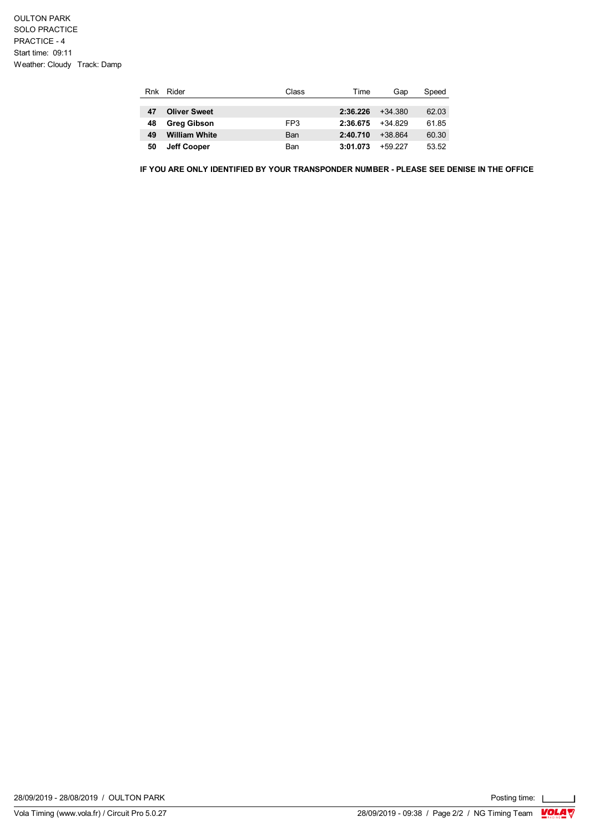| Rnk | Rider                | Class | Time     | Gap       | Speed |
|-----|----------------------|-------|----------|-----------|-------|
|     |                      |       |          |           |       |
| 47  | <b>Oliver Sweet</b>  |       | 2:36.226 | $+34.380$ | 62.03 |
| 48  | <b>Greg Gibson</b>   | FP3   | 2:36.675 | $+34829$  | 61.85 |
| 49  | <b>William White</b> | Ban   | 2:40.710 | $+38.864$ | 60.30 |
| 50  | <b>Jeff Cooper</b>   | Ban   | 3:01.073 | +59 227   | 53.52 |

**IF YOU ARE ONLY IDENTIFIED BY YOUR TRANSPONDER NUMBER - PLEASE SEE DENISE IN THE OFFICE**